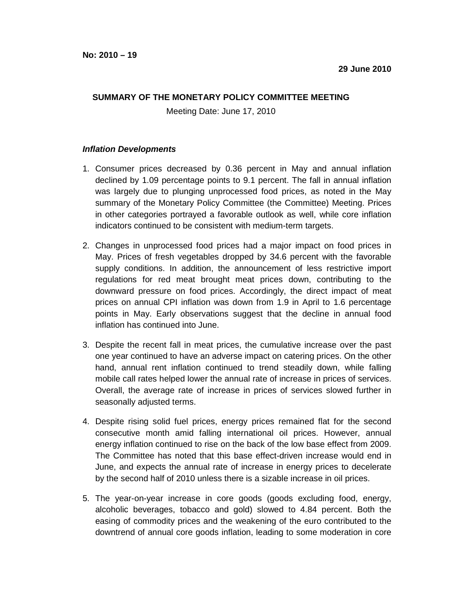## **SUMMARY OF THE MONETARY POLICY COMMITTEE MEETING**

Meeting Date: June 17, 2010

## **Inflation Developments**

- 1. Consumer prices decreased by 0.36 percent in May and annual inflation declined by 1.09 percentage points to 9.1 percent. The fall in annual inflation was largely due to plunging unprocessed food prices, as noted in the May summary of the Monetary Policy Committee (the Committee) Meeting. Prices in other categories portrayed a favorable outlook as well, while core inflation indicators continued to be consistent with medium-term targets.
- 2. Changes in unprocessed food prices had a major impact on food prices in May. Prices of fresh vegetables dropped by 34.6 percent with the favorable supply conditions. In addition, the announcement of less restrictive import regulations for red meat brought meat prices down, contributing to the downward pressure on food prices. Accordingly, the direct impact of meat prices on annual CPI inflation was down from 1.9 in April to 1.6 percentage points in May. Early observations suggest that the decline in annual food inflation has continued into June.
- 3. Despite the recent fall in meat prices, the cumulative increase over the past one year continued to have an adverse impact on catering prices. On the other hand, annual rent inflation continued to trend steadily down, while falling mobile call rates helped lower the annual rate of increase in prices of services. Overall, the average rate of increase in prices of services slowed further in seasonally adjusted terms.
- 4. Despite rising solid fuel prices, energy prices remained flat for the second consecutive month amid falling international oil prices. However, annual energy inflation continued to rise on the back of the low base effect from 2009. The Committee has noted that this base effect-driven increase would end in June, and expects the annual rate of increase in energy prices to decelerate by the second half of 2010 unless there is a sizable increase in oil prices.
- 5. The year-on-year increase in core goods (goods excluding food, energy, alcoholic beverages, tobacco and gold) slowed to 4.84 percent. Both the easing of commodity prices and the weakening of the euro contributed to the downtrend of annual core goods inflation, leading to some moderation in core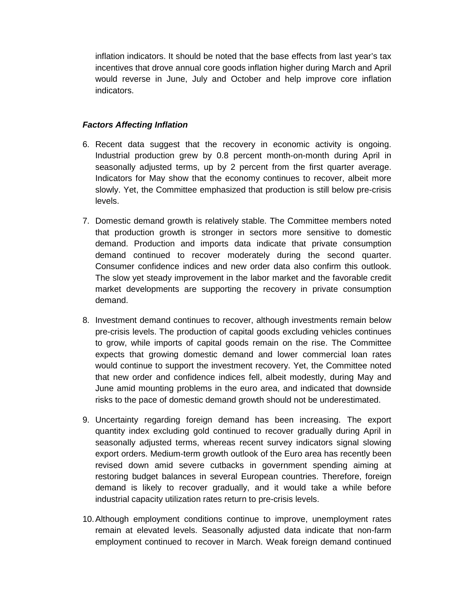inflation indicators. It should be noted that the base effects from last year's tax incentives that drove annual core goods inflation higher during March and April would reverse in June, July and October and help improve core inflation indicators.

## **Factors Affecting Inflation**

- 6. Recent data suggest that the recovery in economic activity is ongoing. Industrial production grew by 0.8 percent month-on-month during April in seasonally adjusted terms, up by 2 percent from the first quarter average. Indicators for May show that the economy continues to recover, albeit more slowly. Yet, the Committee emphasized that production is still below pre-crisis levels.
- 7. Domestic demand growth is relatively stable. The Committee members noted that production growth is stronger in sectors more sensitive to domestic demand. Production and imports data indicate that private consumption demand continued to recover moderately during the second quarter. Consumer confidence indices and new order data also confirm this outlook. The slow yet steady improvement in the labor market and the favorable credit market developments are supporting the recovery in private consumption demand.
- 8. Investment demand continues to recover, although investments remain below pre-crisis levels. The production of capital goods excluding vehicles continues to grow, while imports of capital goods remain on the rise. The Committee expects that growing domestic demand and lower commercial loan rates would continue to support the investment recovery. Yet, the Committee noted that new order and confidence indices fell, albeit modestly, during May and June amid mounting problems in the euro area, and indicated that downside risks to the pace of domestic demand growth should not be underestimated.
- 9. Uncertainty regarding foreign demand has been increasing. The export quantity index excluding gold continued to recover gradually during April in seasonally adjusted terms, whereas recent survey indicators signal slowing export orders. Medium-term growth outlook of the Euro area has recently been revised down amid severe cutbacks in government spending aiming at restoring budget balances in several European countries. Therefore, foreign demand is likely to recover gradually, and it would take a while before industrial capacity utilization rates return to pre-crisis levels.
- 10. Although employment conditions continue to improve, unemployment rates remain at elevated levels. Seasonally adjusted data indicate that non-farm employment continued to recover in March. Weak foreign demand continued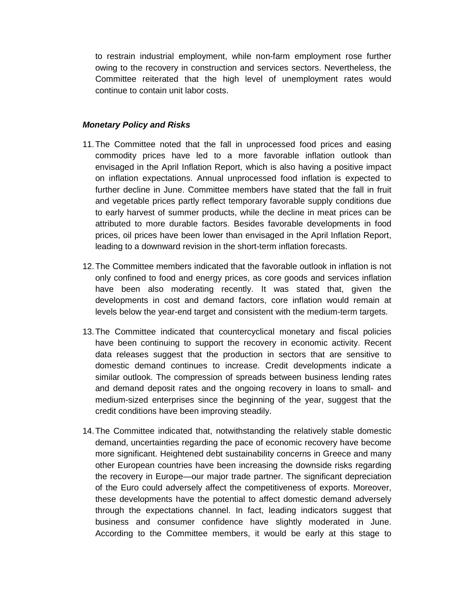to restrain industrial employment, while non-farm employment rose further owing to the recovery in construction and services sectors. Nevertheless, the Committee reiterated that the high level of unemployment rates would continue to contain unit labor costs.

## **Monetary Policy and Risks**

- 11. The Committee noted that the fall in unprocessed food prices and easing commodity prices have led to a more favorable inflation outlook than envisaged in the April Inflation Report, which is also having a positive impact on inflation expectations. Annual unprocessed food inflation is expected to further decline in June. Committee members have stated that the fall in fruit and vegetable prices partly reflect temporary favorable supply conditions due to early harvest of summer products, while the decline in meat prices can be attributed to more durable factors. Besides favorable developments in food prices, oil prices have been lower than envisaged in the April Inflation Report, leading to a downward revision in the short-term inflation forecasts.
- 12. The Committee members indicated that the favorable outlook in inflation is not only confined to food and energy prices, as core goods and services inflation have been also moderating recently. It was stated that, given the developments in cost and demand factors, core inflation would remain at levels below the year-end target and consistent with the medium-term targets.
- 13. The Committee indicated that countercyclical monetary and fiscal policies have been continuing to support the recovery in economic activity. Recent data releases suggest that the production in sectors that are sensitive to domestic demand continues to increase. Credit developments indicate a similar outlook. The compression of spreads between business lending rates and demand deposit rates and the ongoing recovery in loans to small- and medium-sized enterprises since the beginning of the year, suggest that the credit conditions have been improving steadily.
- 14. The Committee indicated that, notwithstanding the relatively stable domestic demand, uncertainties regarding the pace of economic recovery have become more significant. Heightened debt sustainability concerns in Greece and many other European countries have been increasing the downside risks regarding the recovery in Europe—our major trade partner. The significant depreciation of the Euro could adversely affect the competitiveness of exports. Moreover, these developments have the potential to affect domestic demand adversely through the expectations channel. In fact, leading indicators suggest that business and consumer confidence have slightly moderated in June. According to the Committee members, it would be early at this stage to